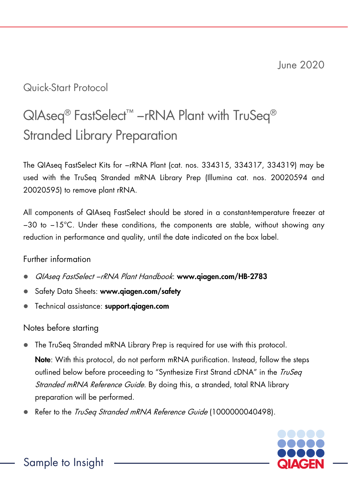# Quick-Start Protocol

# QIAseq<sup>®</sup> FastSelect<sup>™</sup> −rRNA Plant with TruSeq<sup>®</sup> Stranded Library Preparation

The QIAseq FastSelect Kits for −rRNA Plant (cat. nos. 334315, 334317, 334319) may be used with the TruSeq Stranded mRNA Library Prep (Illumina cat. nos. 20020594 and 20020595) to remove plant rRNA.

All components of QIAseq FastSelect should be stored in a constant-temperature freezer at −30 to −15°C. Under these conditions, the components are stable, without showing any reduction in performance and quality, until the date indicated on the box label.

## Further information

- QIAseq FastSelect −rRNA Plant Handbook: www.qiagen.com/HB-2783
- Safety Data Sheets: www.qiagen.com/safety
- Technical assistance: support.qiagen.com

# Notes before starting

- The TruSeq Stranded mRNA Library Prep is required for use with this protocol. Note: With this protocol, do not perform mRNA purification. Instead, follow the steps outlined below before proceeding to "Synthesize First Strand cDNA" in the *TruSeq* Stranded mRNA Reference Guide. By doing this, a stranded, total RNA library preparation will be performed.
- Refer to the TruSeq Stranded mRNA Reference Guide (1000000040498).



Sample to Insight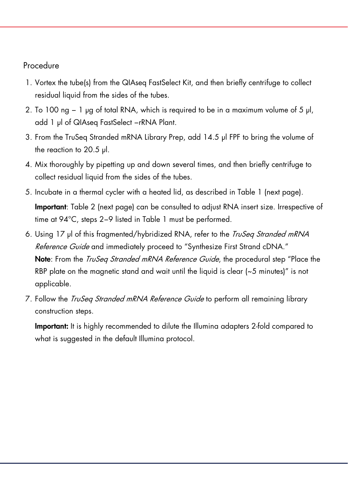## Procedure

- 1. Vortex the tube(s) from the QIAseq FastSelect Kit, and then briefly centrifuge to collect residual liquid from the sides of the tubes.
- 2. To 100 ng − 1 µg of total RNA, which is required to be in a maximum volume of 5 μl, add 1 μl of QIAseq FastSelect −rRNA Plant.
- 3. From the TruSeq Stranded mRNA Library Prep, add 14.5 μl FPF to bring the volume of the reaction to 20.5 μl.
- 4. Mix thoroughly by pipetting up and down several times, and then briefly centrifuge to collect residual liquid from the sides of the tubes.
- 5. Incubate in a thermal cycler with a heated lid, as described in Table 1 (next page). Important: Table 2 (next page) can be consulted to adjust RNA insert size. Irrespective of time at 94°C, steps 2−9 listed in Table 1 must be performed.
- 6. Using 17 µl of this fragmented/hybridized RNA, refer to the *TruSeg Stranded mRNA* Reference Guide and immediately proceed to "Synthesize First Strand cDNA." Note: From the *TruSea Stranded mRNA Reference Guide*, the procedural step "Place the RBP plate on the magnetic stand and wait until the liquid is clear (~5 minutes)" is not applicable.
- 7. Follow the *TruSea Stranded mRNA Reference Guide* to perform all remaining library construction steps.

Important: It is highly recommended to dilute the Illumina adapters 2-fold compared to what is suggested in the default Illuming protocol.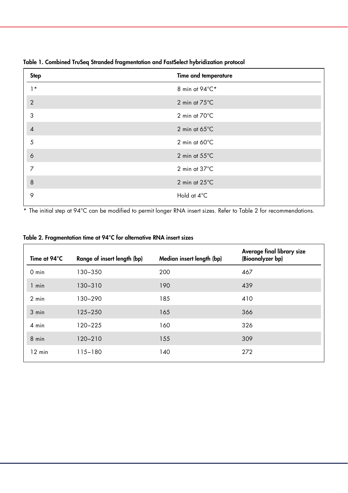| <b>Step</b>    | Time and temperature    |
|----------------|-------------------------|
| $1*$           | 8 min at 94°C*          |
| $\overline{2}$ | 2 min at 75°C           |
| 3              | 2 min at 70°C           |
| $\overline{4}$ | 2 min at $65^{\circ}$ C |
| 5              | 2 min at $60^{\circ}$ C |
| 6              | 2 min at 55°C           |
| 7              | 2 min at 37°C           |
| 8              | 2 min at 25°C           |
| 9              | Hold at 4°C             |

Table 1. Combined TruSeq Stranded fragmentation and FastSelect hybridization protocol

\* The initial step at 94°C can be modified to permit longer RNA insert sizes. Refer to Table 2 for recommendations.

| Table 2. Fragmentation time at 94°C for alternative RNA insert sizes |  |  |
|----------------------------------------------------------------------|--|--|
|----------------------------------------------------------------------|--|--|

| Time at 94°C     | Range of insert length (bp) | Median insert length (bp) | Average final library size<br>(Bioanalyzer bp) |
|------------------|-----------------------------|---------------------------|------------------------------------------------|
| $0 \text{ min}$  | 130-350                     | 200                       | 467                                            |
| 1 min            | $130 - 310$                 | 190                       | 439                                            |
| $2$ min          | 130-290                     | 185                       | 410                                            |
| $3$ min          | $125 - 250$                 | 165                       | 366                                            |
| $4$ min          | $120 - 225$                 | 160                       | 326                                            |
| 8 min            | $120 - 210$                 | 155                       | 309                                            |
| $12 \text{ min}$ | $115 - 180$                 | 140                       | 272                                            |